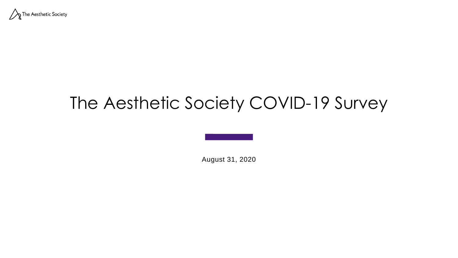

### The Aesthetic Society COVID-19 Survey

August 31, 2020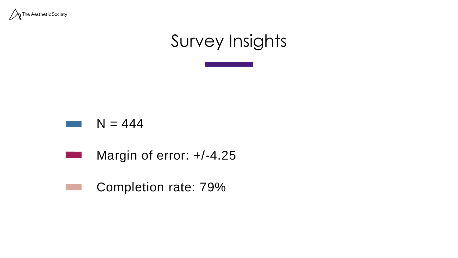

## Survey Insights





#### Completion rate: 79%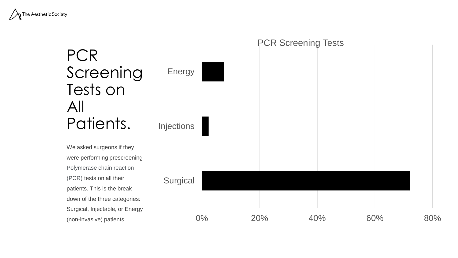

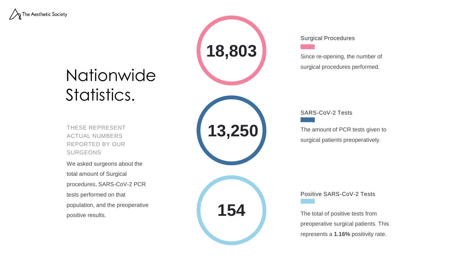

### Nationwide Statistics.

THESE REPRESENT ACTUAL NUMBERS REPORTED BY OUR SURGEONS

We asked surgeons about the total amount of Surgical procedures, SARS-CoV-2 PCR tests performed on that population, and the preoperative positive results.



Surgical Procedures

Since re-opening, the number of surgical procedures performed.

SARS-CoV-2 Tests

The amount of PCR tests given to surgical patients preoperatively.

Positive SARS-CoV-2 Tests

The total of positive tests from preoperative surgical patients. This represents a **1.16%** positivity rate.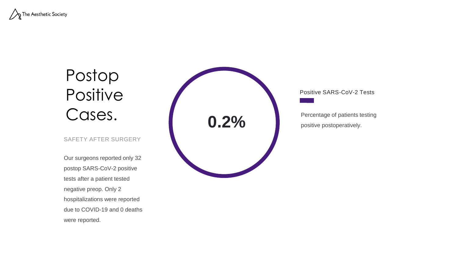

## Postop **Positive** Cases.

#### SAFETY AFTER SURGERY

Our surgeons reported only 32 postop SARS-CoV-2 positive tests after a patient tested negative preop. Only 2 hospitalizations were reported due to COVID-19 and 0 deaths were reported.



Positive SARS-CoV-2 Tests

Percentage of patients testing positive postoperatively.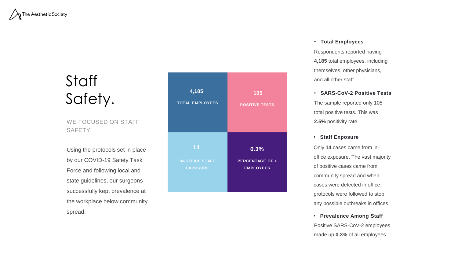

### **Staff** Safety.

WE FOCUSED ON STAFF **SAFETY** 

Using the protocols set in place by our COVID-19 Safety Task Force and following local and state guidelines, our surgeons successfully kept prevalence at the workplace below community spread.



#### • **Total Employees**

Respondents reported having **4,185** total employees, including themselves, other physicians, and all other staff.

• **SARS-CoV-2 Positive Tests** The sample reported only 105

total positive tests. This was **2.5%** positivity rate.

• **Staff Exposure**

Only **14** cases came from inoffice exposure. The vast majority of positive cases came from community spread and when cases were detected in office, protocols were followed to stop any possible outbreaks in offices.

• **Prevalence Among Staff** Positive SARS-CoV-2 employees made up **0.3%** of all employees.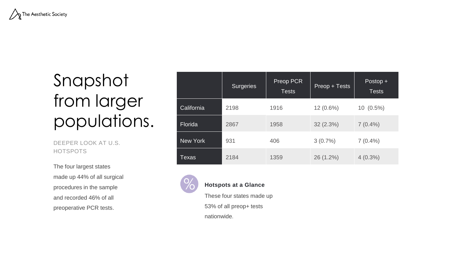

# Snapshot from larger populations.

DEEPER LOOK AT U.S. HOTSPOTS

The four largest states made up 44% of all surgical procedures in the sample and recorded 46% of all preoperative PCR tests.

|            | <b>Surgeries</b> | Preop PCR<br><b>Tests</b> | Preop + Tests | Postop +<br><b>Tests</b> |
|------------|------------------|---------------------------|---------------|--------------------------|
| California | 2198             | 1916                      | $12(0.6\%)$   | $10(0.5\%)$              |
| Florida    | 2867             | 1958                      | 32(2.3%)      | $7(0.4\%)$               |
| New York   | 931              | 406                       | 3(0.7%)       | $7(0.4\%)$               |
| Texas      | 2184             | 1359                      | 26 (1.2%)     | $4(0.3\%)$               |



#### **Hotspots at a Glance**

These four states made up 53% of all preop+ tests nationwide.